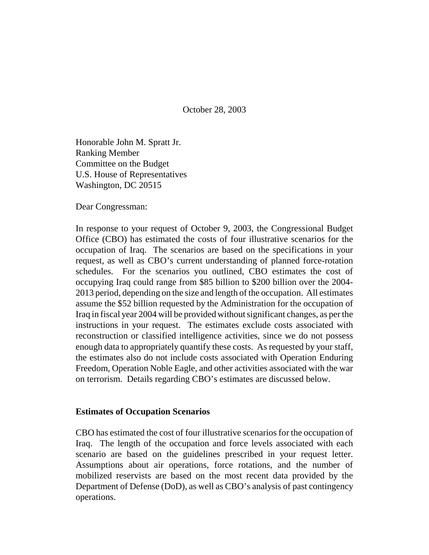October 28, 2003

Honorable John M. Spratt Jr. Ranking Member Committee on the Budget U.S. House of Representatives Washington, DC 20515

Dear Congressman:

In response to your request of October 9, 2003, the Congressional Budget Office (CBO) has estimated the costs of four illustrative scenarios for the occupation of Iraq. The scenarios are based on the specifications in your request, as well as CBO's current understanding of planned force-rotation schedules. For the scenarios you outlined, CBO estimates the cost of occupying Iraq could range from \$85 billion to \$200 billion over the 2004- 2013 period, depending on the size and length of the occupation. All estimates assume the \$52 billion requested by the Administration for the occupation of Iraq in fiscal year 2004 will be provided without significant changes, as per the instructions in your request. The estimates exclude costs associated with reconstruction or classified intelligence activities, since we do not possess enough data to appropriately quantify these costs. As requested by your staff, the estimates also do not include costs associated with Operation Enduring Freedom, Operation Noble Eagle, and other activities associated with the war on terrorism. Details regarding CBO's estimates are discussed below.

## **Estimates of Occupation Scenarios**

CBO has estimated the cost of four illustrative scenarios for the occupation of Iraq. The length of the occupation and force levels associated with each scenario are based on the guidelines prescribed in your request letter. Assumptions about air operations, force rotations, and the number of mobilized reservists are based on the most recent data provided by the Department of Defense (DoD), as well as CBO's analysis of past contingency operations.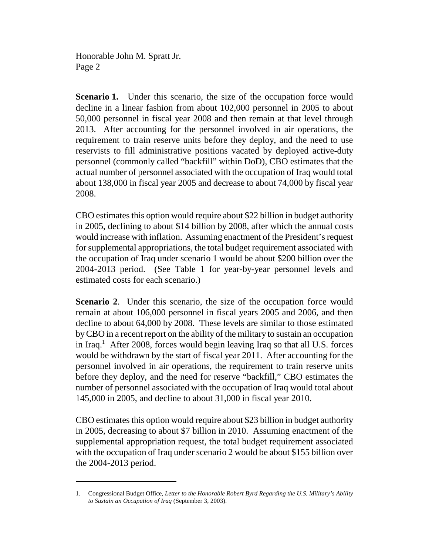Honorable John M. Spratt Jr. Page 2

**Scenario 1.** Under this scenario, the size of the occupation force would decline in a linear fashion from about 102,000 personnel in 2005 to about 50,000 personnel in fiscal year 2008 and then remain at that level through 2013. After accounting for the personnel involved in air operations, the requirement to train reserve units before they deploy, and the need to use reservists to fill administrative positions vacated by deployed active-duty personnel (commonly called "backfill" within DoD), CBO estimates that the actual number of personnel associated with the occupation of Iraq would total about 138,000 in fiscal year 2005 and decrease to about 74,000 by fiscal year 2008.

CBO estimates this option would require about \$22 billion in budget authority in 2005, declining to about \$14 billion by 2008, after which the annual costs would increase with inflation. Assuming enactment of the President's request for supplemental appropriations, the total budget requirement associated with the occupation of Iraq under scenario 1 would be about \$200 billion over the 2004-2013 period. (See Table 1 for year-by-year personnel levels and estimated costs for each scenario.)

**Scenario 2.** Under this scenario, the size of the occupation force would remain at about 106,000 personnel in fiscal years 2005 and 2006, and then decline to about 64,000 by 2008. These levels are similar to those estimated by CBO in a recent report on the ability of the military to sustain an occupation in Iraq.<sup>1</sup> After 2008, forces would begin leaving Iraq so that all U.S. forces would be withdrawn by the start of fiscal year 2011. After accounting for the personnel involved in air operations, the requirement to train reserve units before they deploy, and the need for reserve "backfill," CBO estimates the number of personnel associated with the occupation of Iraq would total about 145,000 in 2005, and decline to about 31,000 in fiscal year 2010.

CBO estimates this option would require about \$23 billion in budget authority in 2005, decreasing to about \$7 billion in 2010. Assuming enactment of the supplemental appropriation request, the total budget requirement associated with the occupation of Iraq under scenario 2 would be about \$155 billion over the 2004-2013 period.

<sup>1.</sup> Congressional Budget Office, *Letter to the Honorable Robert Byrd Regarding the U.S. Military's Ability to Sustain an Occupation of Iraq* (September 3, 2003).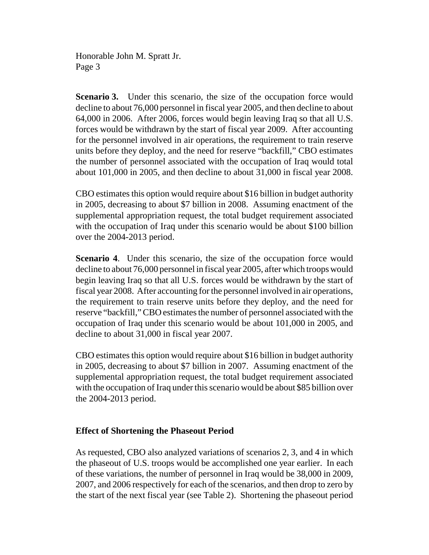Honorable John M. Spratt Jr. Page 3

**Scenario 3.** Under this scenario, the size of the occupation force would decline to about 76,000 personnel in fiscal year 2005, and then decline to about 64,000 in 2006. After 2006, forces would begin leaving Iraq so that all U.S. forces would be withdrawn by the start of fiscal year 2009. After accounting for the personnel involved in air operations, the requirement to train reserve units before they deploy, and the need for reserve "backfill," CBO estimates the number of personnel associated with the occupation of Iraq would total about 101,000 in 2005, and then decline to about 31,000 in fiscal year 2008.

CBO estimates this option would require about \$16 billion in budget authority in 2005, decreasing to about \$7 billion in 2008. Assuming enactment of the supplemental appropriation request, the total budget requirement associated with the occupation of Iraq under this scenario would be about \$100 billion over the 2004-2013 period.

**Scenario 4.** Under this scenario, the size of the occupation force would decline to about 76,000 personnel in fiscal year 2005, after which troops would begin leaving Iraq so that all U.S. forces would be withdrawn by the start of fiscal year 2008. After accounting for the personnel involved in air operations, the requirement to train reserve units before they deploy, and the need for reserve "backfill," CBO estimates the number of personnel associated with the occupation of Iraq under this scenario would be about 101,000 in 2005, and decline to about 31,000 in fiscal year 2007.

CBO estimates this option would require about \$16 billion in budget authority in 2005, decreasing to about \$7 billion in 2007. Assuming enactment of the supplemental appropriation request, the total budget requirement associated with the occupation of Iraq under this scenario would be about \$85 billion over the 2004-2013 period.

## **Effect of Shortening the Phaseout Period**

As requested, CBO also analyzed variations of scenarios 2, 3, and 4 in which the phaseout of U.S. troops would be accomplished one year earlier. In each of these variations, the number of personnel in Iraq would be 38,000 in 2009, 2007, and 2006 respectively for each of the scenarios, and then drop to zero by the start of the next fiscal year (see Table 2). Shortening the phaseout period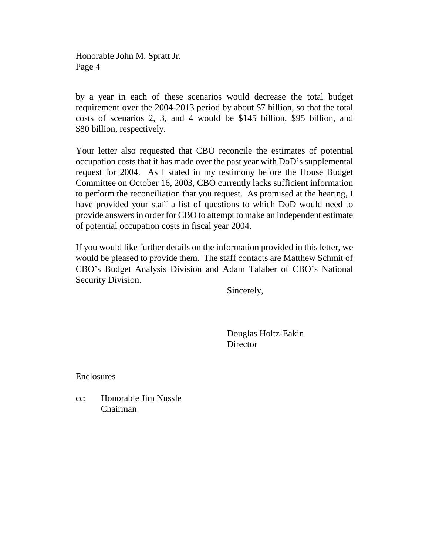Honorable John M. Spratt Jr. Page 4

by a year in each of these scenarios would decrease the total budget requirement over the 2004-2013 period by about \$7 billion, so that the total costs of scenarios 2, 3, and 4 would be \$145 billion, \$95 billion, and \$80 billion, respectively.

Your letter also requested that CBO reconcile the estimates of potential occupation costs that it has made over the past year with DoD's supplemental request for 2004. As I stated in my testimony before the House Budget Committee on October 16, 2003, CBO currently lacks sufficient information to perform the reconciliation that you request. As promised at the hearing, I have provided your staff a list of questions to which DoD would need to provide answers in order for CBO to attempt to make an independent estimate of potential occupation costs in fiscal year 2004.

If you would like further details on the information provided in this letter, we would be pleased to provide them. The staff contacts are Matthew Schmit of CBO's Budget Analysis Division and Adam Talaber of CBO's National Security Division.

Sincerely,

Douglas Holtz-Eakin **Director** 

Enclosures

cc: Honorable Jim Nussle Chairman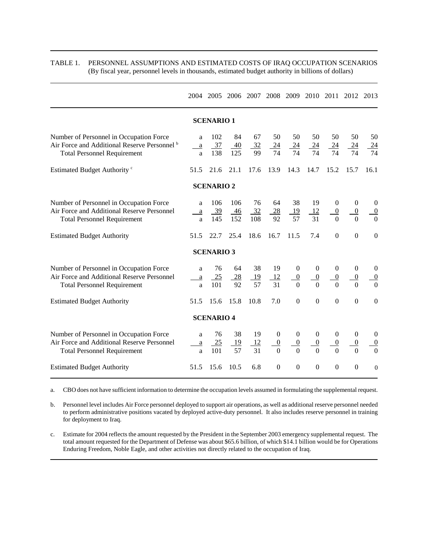|                                                                                                                                          |                                    | 2004 2005           |                       |                             |                                                |                                                      |                                                      |                                                  | 2006 2007 2008 2009 2010 2011 2012 2013          |                                                      |
|------------------------------------------------------------------------------------------------------------------------------------------|------------------------------------|---------------------|-----------------------|-----------------------------|------------------------------------------------|------------------------------------------------------|------------------------------------------------------|--------------------------------------------------|--------------------------------------------------|------------------------------------------------------|
| <b>SCENARIO1</b>                                                                                                                         |                                    |                     |                       |                             |                                                |                                                      |                                                      |                                                  |                                                  |                                                      |
| Number of Personnel in Occupation Force<br>Air Force and Additional Reserve Personnel <sup>b</sup><br><b>Total Personnel Requirement</b> | a<br>$\underline{\mathbf{a}}$<br>a | 102<br>37<br>138    | 84<br>40<br>125       | 67<br>$\frac{32}{2}$<br>99  | 50<br>$\frac{24}{ }$<br>74                     | 50<br>$\frac{24}{ }$<br>74                           | 50<br>$\frac{24}{5}$<br>74                           | 50<br>$\frac{24}{ }$<br>74                       | 50<br>$\frac{24}{ }$<br>74                       | 50<br>$\frac{24}{74}$                                |
| Estimated Budget Authority <sup>c</sup>                                                                                                  | 51.5                               | 21.6                | 21.1                  | 17.6                        | 13.9                                           | 14.3                                                 | 14.7                                                 | 15.2                                             | 15.7                                             | 16.1                                                 |
|                                                                                                                                          |                                    | <b>SCENARIO 2</b>   |                       |                             |                                                |                                                      |                                                      |                                                  |                                                  |                                                      |
| Number of Personnel in Occupation Force<br>Air Force and Additional Reserve Personnel<br><b>Total Personnel Requirement</b>              | a<br>$\rm{a}$<br>a                 | 106<br>$-39$<br>145 | 106<br>$-46$<br>152   | 76<br>$\frac{32}{2}$<br>108 | 64<br>28<br>92                                 | 38<br>19<br>57                                       | 19<br>12<br>31                                       | $\mathbf{0}$<br>$\overline{0}$<br>$\overline{0}$ | $\boldsymbol{0}$<br>$\overline{0}$<br>$\Omega$   | $\theta$<br>$\frac{0}{0}$                            |
| <b>Estimated Budget Authority</b>                                                                                                        | 51.5                               | 22.7                | 25.4                  | 18.6                        | 16.7                                           | 11.5                                                 | 7.4                                                  | $\Omega$                                         | $\overline{0}$                                   | $\overline{0}$                                       |
|                                                                                                                                          |                                    | <b>SCENARIO 3</b>   |                       |                             |                                                |                                                      |                                                      |                                                  |                                                  |                                                      |
| Number of Personnel in Occupation Force<br>Air Force and Additional Reserve Personnel<br><b>Total Personnel Requirement</b>              | a<br>$\rm{a}$<br>a                 | 76<br>25<br>101     | 64<br>28<br>92        | 38<br><u>19</u><br>57       | 19<br>12<br>31                                 | $\boldsymbol{0}$<br>$\overline{0}$<br>$\theta$       | $\boldsymbol{0}$<br>$\overline{0}$<br>$\Omega$       | $\boldsymbol{0}$<br>$\overline{0}$<br>$\Omega$   | $\boldsymbol{0}$<br>$\overline{0}$               | $\mathbf{0}$<br>$\overline{0}$<br>$\overline{0}$     |
| <b>Estimated Budget Authority</b>                                                                                                        | 51.5                               | 15.6                | 15.8                  | 10.8                        | 7.0                                            | $\boldsymbol{0}$                                     | $\mathbf{0}$                                         | $\boldsymbol{0}$                                 | $\Omega$                                         | $\boldsymbol{0}$                                     |
|                                                                                                                                          |                                    | <b>SCENARIO 4</b>   |                       |                             |                                                |                                                      |                                                      |                                                  |                                                  |                                                      |
| Number of Personnel in Occupation Force<br>Air Force and Additional Reserve Personnel<br><b>Total Personnel Requirement</b>              | a<br>a<br>a                        | 76<br>25<br>101     | 38<br><u>19</u><br>57 | 19<br>12<br>31              | $\boldsymbol{0}$<br>$\overline{0}$<br>$\theta$ | $\boldsymbol{0}$<br>$\overline{0}$<br>$\overline{0}$ | $\boldsymbol{0}$<br>$\overline{0}$<br>$\overline{0}$ | $\boldsymbol{0}$<br>$\overline{0}$<br>$\Omega$   | $\boldsymbol{0}$<br>$\boldsymbol{0}$<br>$\Omega$ | $\boldsymbol{0}$<br>$\overline{0}$<br>$\overline{0}$ |
| <b>Estimated Budget Authority</b>                                                                                                        | 51.5                               | 15.6                | 10.5                  | 6.8                         | $\boldsymbol{0}$                               | $\boldsymbol{0}$                                     | $\boldsymbol{0}$                                     | $\boldsymbol{0}$                                 | $\boldsymbol{0}$                                 | $\overline{0}$                                       |

TABLE 1. PERSONNEL ASSUMPTIONS AND ESTIMATED COSTS OF IRAQ OCCUPATION SCENARIOS (By fiscal year, personnel levels in thousands, estimated budget authority in billions of dollars)

a. CBO does not have sufficient information to determine the occupation levels assumed in formulating the supplemental request.

b. Personnel level includes Air Force personnel deployed to support air operations, as well as additional reserve personnel needed to perform administrative positions vacated by deployed active-duty personnel. It also includes reserve personnel in training for deployment to Iraq.

c. Estimate for 2004 reflects the amount requested by the President in the September 2003 emergency supplemental request. The total amount requested for the Department of Defense was about \$65.6 billion, of which \$14.1 billion would be for Operations Enduring Freedom, Noble Eagle, and other activities not directly related to the occupation of Iraq.